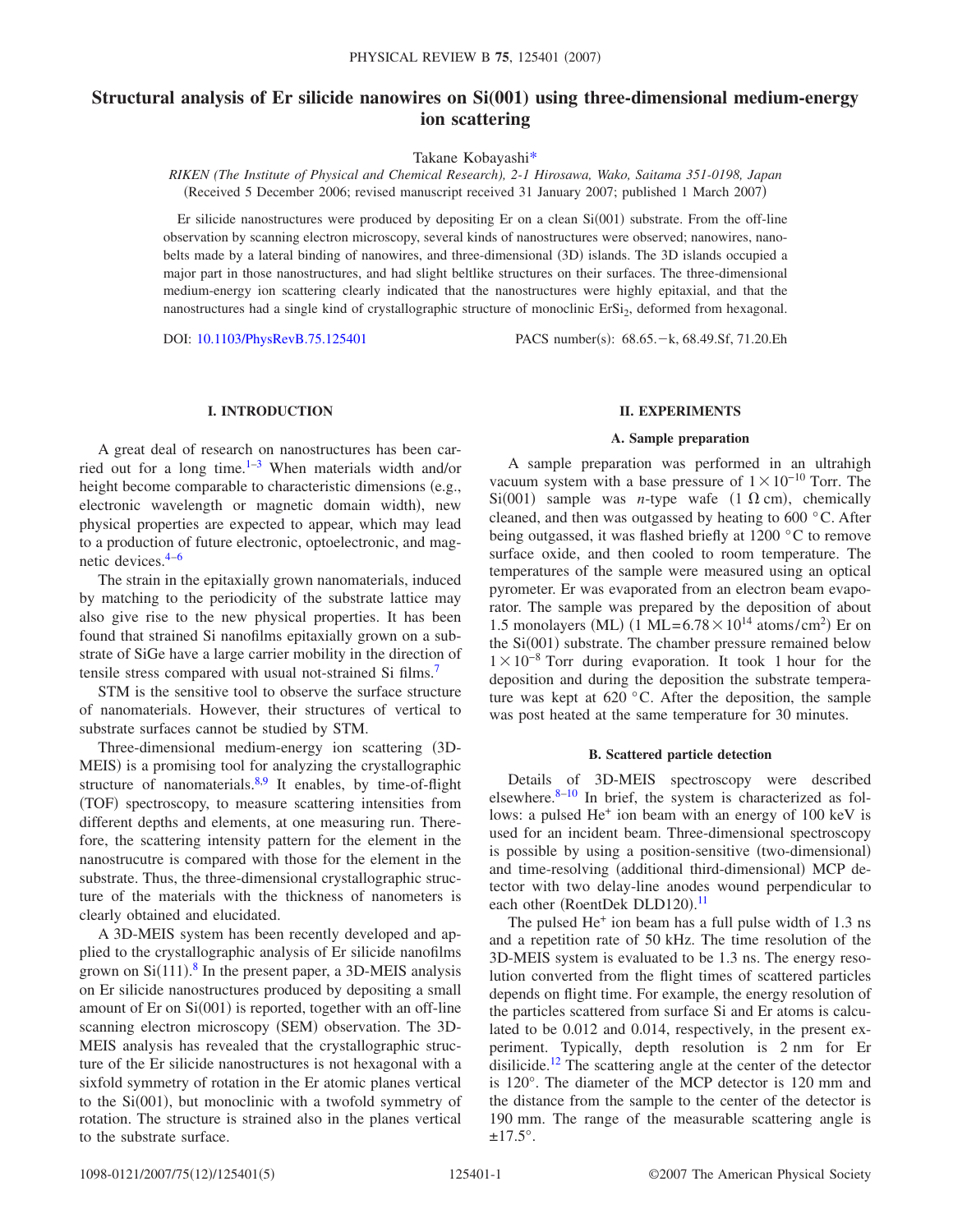# **Structural analysis of Er silicide nanowires on Si(001) using three-dimensional medium-energy ion scattering**

Takane Kobayash[i\\*](#page-4-0)

*RIKEN (The Institute of Physical and Chemical Research), 2-1 Hirosawa, Wako, Saitama 351-0198, Japan* (Received 5 December 2006; revised manuscript received 31 January 2007; published 1 March 2007)

Er silicide nanostructures were produced by depositing Er on a clean  $Si(001)$  substrate. From the off-line observation by scanning electron microscopy, several kinds of nanostructures were observed; nanowires, nanobelts made by a lateral binding of nanowires, and three-dimensional (3D) islands. The 3D islands occupied a major part in those nanostructures, and had slight beltlike structures on their surfaces. The three-dimensional medium-energy ion scattering clearly indicated that the nanostructures were highly epitaxial, and that the nanostructures had a single kind of crystallographic structure of monoclinic ErSi<sub>2</sub>, deformed from hexagonal.

DOI: [10.1103/PhysRevB.75.125401](http://dx.doi.org/10.1103/PhysRevB.75.125401)

PACS number(s): 68.65. - k, 68.49.Sf, 71.20.Eh

# **I. INTRODUCTION**

A great deal of research on nanostructures has been carried out for a long time[.1](#page-4-1)[–3](#page-4-2) When materials width and/or height become comparable to characteristic dimensions (e.g., electronic wavelength or magnetic domain width), new physical properties are expected to appear, which may lead to a production of future electronic, optoelectronic, and magnetic devices[.4–](#page-4-3)[6](#page-4-4)

The strain in the epitaxially grown nanomaterials, induced by matching to the periodicity of the substrate lattice may also give rise to the new physical properties. It has been found that strained Si nanofilms epitaxially grown on a substrate of SiGe have a large carrier mobility in the direction of tensile stress compared with usual not-strained Si films.<sup>7</sup>

STM is the sensitive tool to observe the surface structure of nanomaterials. However, their structures of vertical to substrate surfaces cannot be studied by STM.

Three-dimensional medium-energy ion scattering (3D-MEIS) is a promising tool for analyzing the crystallographic structure of nanomaterials. $8.9$  It enables, by time-of-flight (TOF) spectroscopy, to measure scattering intensities from different depths and elements, at one measuring run. Therefore, the scattering intensity pattern for the element in the nanostrucutre is compared with those for the element in the substrate. Thus, the three-dimensional crystallographic structure of the materials with the thickness of nanometers is clearly obtained and elucidated.

A 3D-MEIS system has been recently developed and applied to the crystallographic analysis of Er silicide nanofilms grown on  $Si(111).$ <sup>[8](#page-4-6)</sup> In the present paper, a 3D-MEIS analysis on Er silicide nanostructures produced by depositing a small amount of Er on Si(001) is reported, together with an off-line scanning electron microscopy (SEM) observation. The 3D-MEIS analysis has revealed that the crystallographic structure of the Er silicide nanostructures is not hexagonal with a sixfold symmetry of rotation in the Er atomic planes vertical to the Si(001), but monoclinic with a twofold symmetry of rotation. The structure is strained also in the planes vertical to the substrate surface.

### **II. EXPERIMENTS**

#### **A. Sample preparation**

A sample preparation was performed in an ultrahigh vacuum system with a base pressure of  $1 \times 10^{-10}$  Torr. The Si(001) sample was *n*-type wafe  $(1 \Omega \text{ cm})$ , chemically cleaned, and then was outgassed by heating to 600 °C. After being outgassed, it was flashed briefly at 1200 °C to remove surface oxide, and then cooled to room temperature. The temperatures of the sample were measured using an optical pyrometer. Er was evaporated from an electron beam evaporator. The sample was prepared by the deposition of about 1.5 monolayers (ML) (1 ML=6.78 $\times$ 10<sup>14</sup> atoms/cm<sup>2</sup>) Er on the Si(001) substrate. The chamber pressure remained below 1×10<sup>-8</sup> Torr during evaporation. It took 1 hour for the deposition and during the deposition the substrate temperature was kept at 620 °C. After the deposition, the sample was post heated at the same temperature for 30 minutes.

#### **B. Scattered particle detection**

Details of 3D-MEIS spectroscopy were described elsewhere. $8-10$  In brief, the system is characterized as follows: a pulsed He<sup>+</sup> ion beam with an energy of 100 keV is used for an incident beam. Three-dimensional spectroscopy is possible by using a position-sensitive (two-dimensional) and time-resolving (additional third-dimensional) MCP detector with two delay-line anodes wound perpendicular to each other (RoentDek DLD120).<sup>[11](#page-4-9)</sup>

The pulsed  $He<sup>+</sup>$  ion beam has a full pulse width of 1.3 ns and a repetition rate of 50 kHz. The time resolution of the 3D-MEIS system is evaluated to be 1.3 ns. The energy resolution converted from the flight times of scattered particles depends on flight time. For example, the energy resolution of the particles scattered from surface Si and Er atoms is calculated to be 0.012 and 0.014, respectively, in the present experiment. Typically, depth resolution is 2 nm for Er disilicide.<sup>12</sup> The scattering angle at the center of the detector is 120°. The diameter of the MCP detector is 120 mm and the distance from the sample to the center of the detector is 190 mm. The range of the measurable scattering angle is  $\pm$ 17.5°.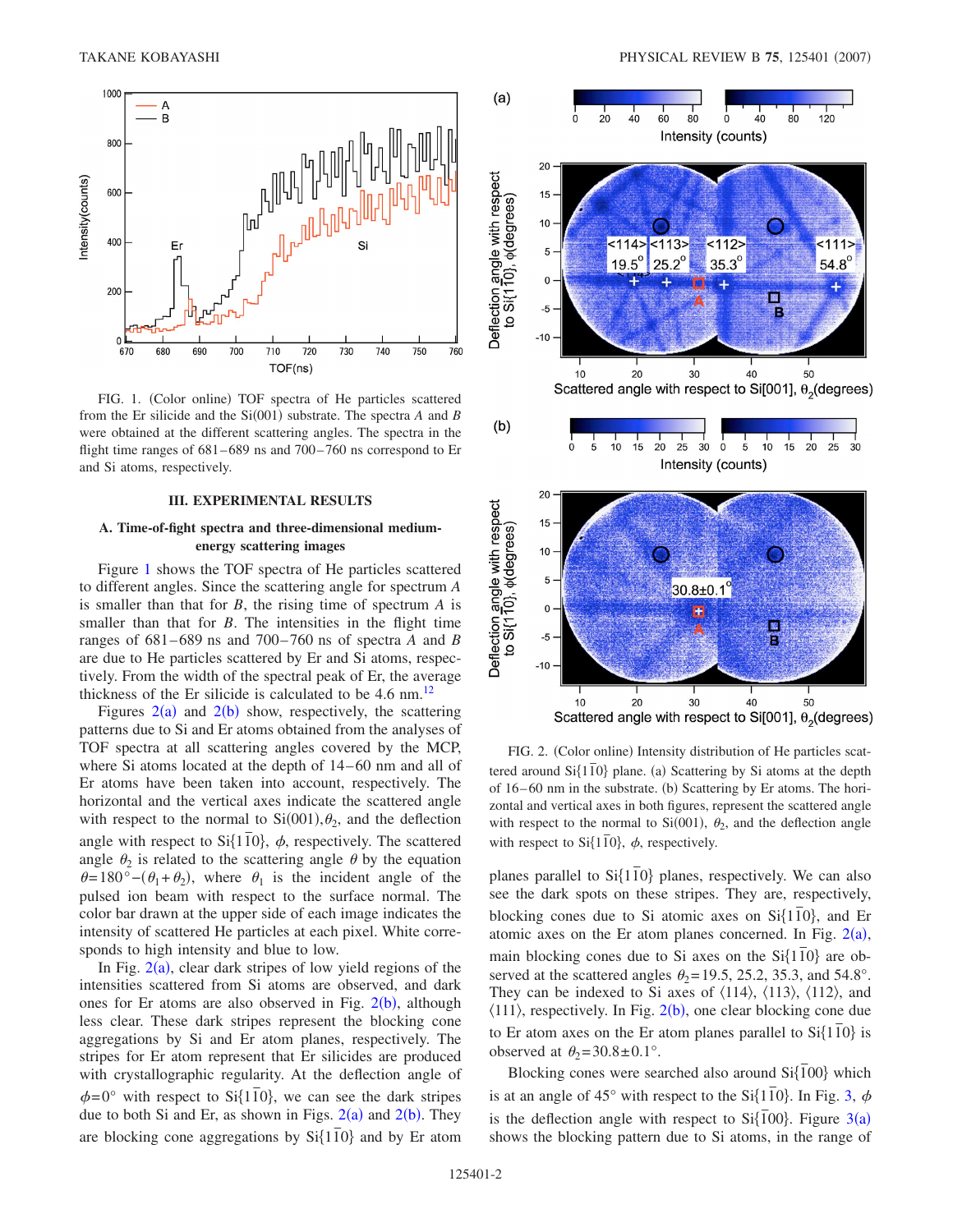<span id="page-1-0"></span>

FIG. 1. (Color online) TOF spectra of He particles scattered from the Er silicide and the  $Si(001)$  substrate. The spectra *A* and *B* were obtained at the different scattering angles. The spectra in the flight time ranges of 681–689 ns and 700–760 ns correspond to Er and Si atoms, respectively.

#### **III. EXPERIMENTAL RESULTS**

# **A. Time-of-fight spectra and three-dimensional mediumenergy scattering images**

Figure [1](#page-1-0) shows the TOF spectra of He particles scattered to different angles. Since the scattering angle for spectrum *A* is smaller than that for *B*, the rising time of spectrum *A* is smaller than that for *B*. The intensities in the flight time ranges of 681–689 ns and 700–760 ns of spectra *A* and *B* are due to He particles scattered by Er and Si atoms, respectively. From the width of the spectral peak of Er, the average thickness of the Er silicide is calculated to be  $4.6 \text{ nm}$ .<sup>12</sup>

Figures  $2(a)$  $2(a)$  and  $2(b)$  show, respectively, the scattering patterns due to Si and Er atoms obtained from the analyses of TOF spectra at all scattering angles covered by the MCP, where Si atoms located at the depth of 14–60 nm and all of Er atoms have been taken into account, respectively. The horizontal and the vertical axes indicate the scattered angle with respect to the normal to  $Si(001)$ ,  $\theta_2$ , and the deflection angle with respect to  $Si\{110\}$ ,  $\phi$ , respectively. The scattered angle  $\theta_2$  is related to the scattering angle  $\theta$  by the equation  $\theta=180^{\circ}-(\theta_1+\theta_2)$ , where  $\theta_1$  is the incident angle of the pulsed ion beam with respect to the surface normal. The color bar drawn at the upper side of each image indicates the intensity of scattered He particles at each pixel. White corresponds to high intensity and blue to low.

In Fig.  $2(a)$  $2(a)$ , clear dark stripes of low yield regions of the intensities scattered from Si atoms are observed, and dark ones for Er atoms are also observed in Fig.  $2(b)$  $2(b)$ , although less clear. These dark stripes represent the blocking cone aggregations by Si and Er atom planes, respectively. The stripes for Er atom represent that Er silicides are produced with crystallographic regularity. At the deflection angle of  $\phi$ =0° with respect to Si{110}, we can see the dark stripes due to both Si and Er, as shown in Figs.  $2(a)$  $2(a)$  and  $2(b)$ . They are blocking cone aggregations by  $Si{110}$  and by Er atom

<span id="page-1-1"></span>

FIG. 2. (Color online) Intensity distribution of He particles scattered around  $Si\{1\bar{1}0\}$  plane. (a) Scattering by Si atoms at the depth of 16–60 nm in the substrate. (b) Scattering by Er atoms. The horizontal and vertical axes in both figures, represent the scattered angle with respect to the normal to Si $(001)$ ,  $\theta_2$ , and the deflection angle with respect to  $Si\{1\bar{1}0\}$ ,  $\phi$ , respectively.

planes parallel to Si $\{110\}$  planes, respectively. We can also see the dark spots on these stripes. They are, respectively, blocking cones due to Si atomic axes on Si $\{110\}$ , and Er atomic axes on the Er atom planes concerned. In Fig.  $2(a)$  $2(a)$ , main blocking cones due to Si axes on the  $Si\{110\}$  are observed at the scattered angles  $\theta_2$ =19.5, 25.2, 35.3, and 54.8°. They can be indexed to Si axes of  $\langle 114 \rangle$ ,  $\langle 113 \rangle$ ,  $\langle 112 \rangle$ , and  $\langle 111 \rangle$ , respectively. In Fig. [2](#page-1-1)(b), one clear blocking cone due to Er atom axes on the Er atom planes parallel to  $Si\{1\bar{1}0\}$  is observed at  $\theta_2$ =30.8±0.1°.

Blocking cones were searched also around  $Si\{\overline{1}00\}$  which is at an angle of 45° with respect to the Si $\{110\}$ . In Fig. [3,](#page-2-0)  $\phi$ is the deflection angle with respect to  $Si\{\overline{100}\}$ . Figure [3](#page-2-0)(a) shows the blocking pattern due to Si atoms, in the range of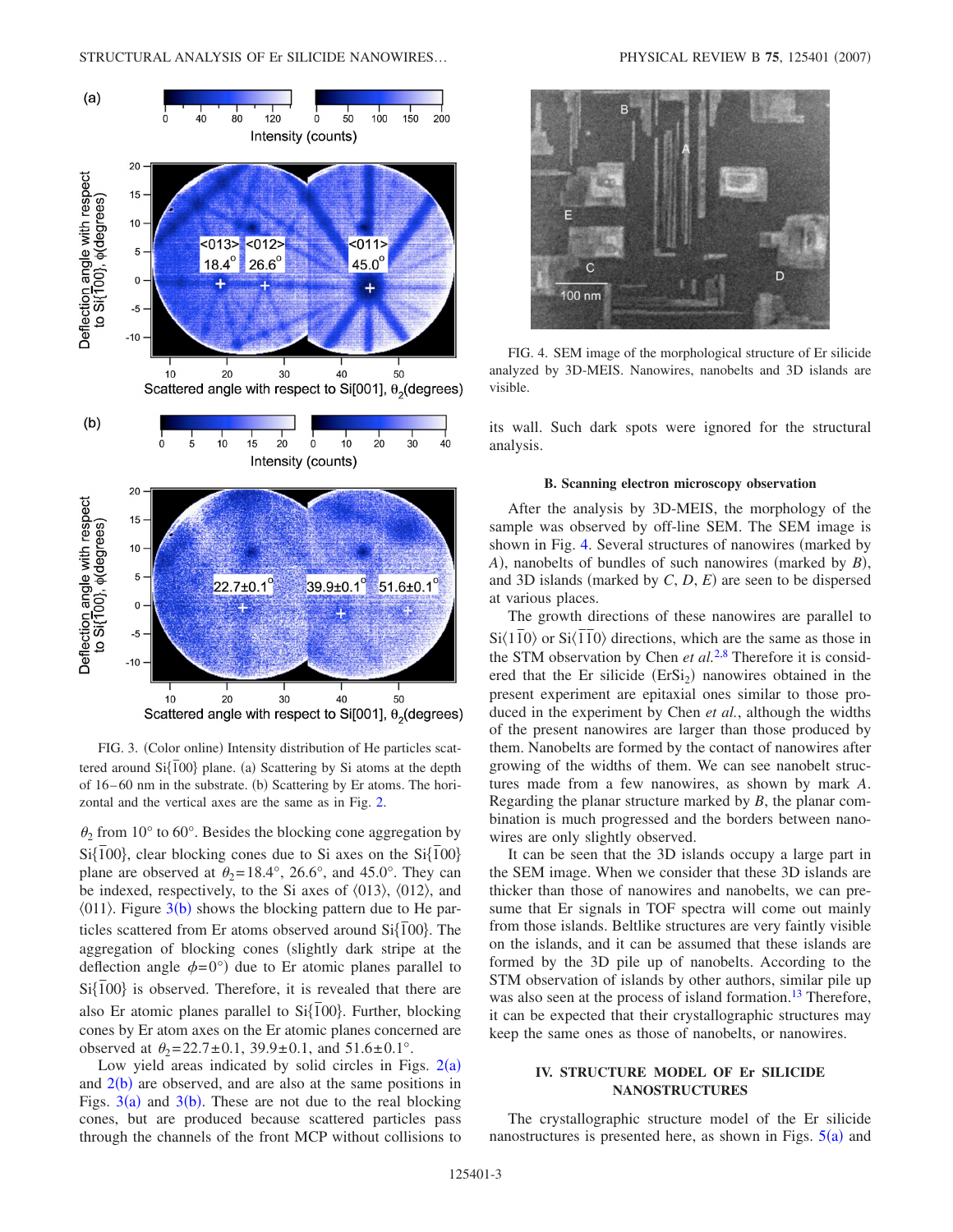<span id="page-2-0"></span>

<span id="page-2-1"></span>

FIG. 4. SEM image of the morphological structure of Er silicide analyzed by 3D-MEIS. Nanowires, nanobelts and 3D islands are visible.

its wall. Such dark spots were ignored for the structural analysis.

#### **B. Scanning electron microscopy observation**

After the analysis by 3D-MEIS, the morphology of the sample was observed by off-line SEM. The SEM image is shown in Fig. [4.](#page-2-1) Several structures of nanowires (marked by *A*), nanobelts of bundles of such nanowires (marked by *B*), and 3D islands (marked by  $C$ ,  $D$ ,  $E$ ) are seen to be dispersed at various places.

The growth directions of these nanowires are parallel to  $Si(1\overline{1}0)$  or  $Si(1\overline{1}0)$  directions, which are the same as those in the STM observation by Chen *et al.*[2](#page-4-11)[,8](#page-4-6) Therefore it is considered that the Er silicide  $(ErSi<sub>2</sub>)$  nanowires obtained in the present experiment are epitaxial ones similar to those produced in the experiment by Chen *et al.*, although the widths of the present nanowires are larger than those produced by them. Nanobelts are formed by the contact of nanowires after growing of the widths of them. We can see nanobelt structures made from a few nanowires, as shown by mark *A*. Regarding the planar structure marked by *B*, the planar combination is much progressed and the borders between nanowires are only slightly observed.

 $\theta_2$  from 10° to 60°. Besides the blocking cone aggregation by  $\frac{1}{2}$  *n* cm to to be the states are electring cone aggregation by Si $\{\overline{1}00\}$ , clear blocking cones due to Si axes on the Si $\{\overline{1}00\}$ plane are observed at  $\theta_2=18.4^\circ$ , 26.6°, and 45.0°. They can be indexed, respectively, to the Si axes of  $\langle 013 \rangle$ ,  $\langle 012 \rangle$ , and  $\langle 011 \rangle$ . Figure [3](#page-2-0)(b) shows the blocking pattern due to He particles scattered from Er atoms observed around  $Si\{\overline{1}00\}$ . The aggregation of blocking cones (slightly dark stripe at the deflection angle  $\phi = 0^{\circ}$  due to Er atomic planes parallel to  $Si\{\overline{1}00\}$  is observed. Therefore, it is revealed that there are also Er atomic planes parallel to Si{ $\overline{100}$ }. Further, blocking cones by Er atom axes on the Er atomic planes concerned are observed at  $\theta_2 = 22.7 \pm 0.1$ , 39.9 $\pm$ 0.1, and 51.6 $\pm$ 0.1°.

FIG. 3. (Color online) Intensity distribution of He particles scattered around Si{ $\overline{100}$ } plane. (a) Scattering by Si atoms at the depth of 16–60 nm in the substrate. (b) Scattering by Er atoms. The hori-

zontal and the vertical axes are the same as in Fig. [2.](#page-1-1)

Low yield areas indicated by solid circles in Figs.  $2(a)$  $2(a)$ and  $2(b)$  $2(b)$  are observed, and are also at the same positions in Figs.  $3(a)$  $3(a)$  and  $3(b)$ . These are not due to the real blocking cones, but are produced because scattered particles pass through the channels of the front MCP without collisions to thicker than those of nanowires and nanobelts, we can presume that Er signals in TOF spectra will come out mainly from those islands. Beltlike structures are very faintly visible on the islands, and it can be assumed that these islands are formed by the 3D pile up of nanobelts. According to the STM observation of islands by other authors, similar pile up was also seen at the process of island formation.<sup>13</sup> Therefore, it can be expected that their crystallographic structures may keep the same ones as those of nanobelts, or nanowires.

It can be seen that the 3D islands occupy a large part in the SEM image. When we consider that these 3D islands are

# **IV. STRUCTURE MODEL OF Er SILICIDE NANOSTRUCTURES**

The crystallographic structure model of the Er silicide nanostructures is presented here, as shown in Figs.  $5(a)$  $5(a)$  and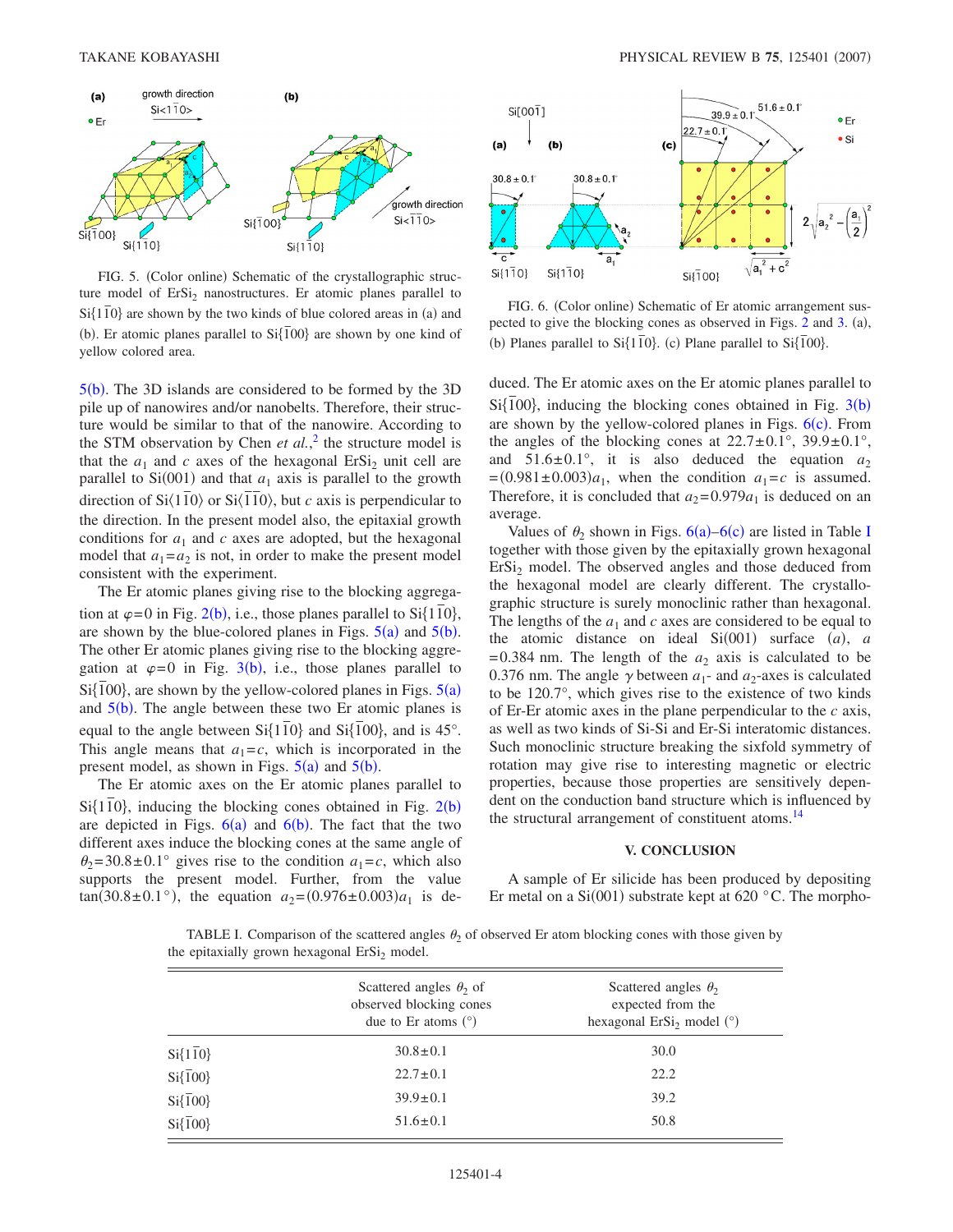<span id="page-3-0"></span>

FIG. 5. (Color online) Schematic of the crystallographic structure model of  $Ersi<sub>2</sub>$  nanostructures. Er atomic planes parallel to  $Si\{1\bar{1}0\}$  are shown by the two kinds of blue colored areas in (a) and (b). Er atomic planes parallel to  $Si\{\overline{100}\}$  are shown by one kind of yellow colored area.

 $5(b)$  $5(b)$ . The 3D islands are considered to be formed by the 3D pile up of nanowires and/or nanobelts. Therefore, their structure would be similar to that of the nanowire. According to the STM observation by Chen *et al.*, [2](#page-4-11) the structure model is that the  $a_1$  and  $c$  axes of the hexagonal ErSi<sub>2</sub> unit cell are parallel to  $Si(001)$  and that  $a_1$  axis is parallel to the growth direction of  $Si(1\overline{1}0)$  or  $Si(\overline{1}\overline{1}0)$ , but *c* axis is perpendicular to the direction. In the present model also, the epitaxial growth conditions for  $a_1$  and  $c$  axes are adopted, but the hexagonal model that  $a_1 = a_2$  is not, in order to make the present model consistent with the experiment.

The Er atomic planes giving rise to the blocking aggregathe at all the planes giving the to the crowning aggregation at  $\varphi$ =0 in Fig. [2](#page-1-1)(b), i.e., those planes parallel to Si $\{1\bar{1}0\}$ , are shown by the blue-colored planes in Figs.  $5(a)$  $5(a)$  and  $5(b)$ . The other Er atomic planes giving rise to the blocking aggregation at  $\varphi = 0$  in Fig. [3](#page-2-0)(b), i.e., those planes parallel to  $Si\{\overline{1}00\}$ , are shown by the yellow-colored planes in Figs.  $5(a)$  $5(a)$ and  $5(b)$  $5(b)$ . The angle between these two Er atomic planes is equal to the angle between  $Si\{1\bar{1}0\}$  and  $Si\{\bar{1}00\}$ , and is 45°. This angle means that  $a_1 = c$ , which is incorporated in the present model, as shown in Figs.  $5(a)$  $5(a)$  and  $5(b)$ .

The Er atomic axes on the Er atomic planes parallel to Si{1<sup>1</sup><sub>0</sub>, inducing the blocking cones obtained in Fig. [2](#page-1-1)(b) are depicted in Figs.  $6(a)$  $6(a)$  and  $6(b)$ . The fact that the two different axes induce the blocking cones at the same angle of  $\theta_2$ =30.8±0.1° gives rise to the condition  $a_1 = c$ , which also supports the present model. Further, from the value  $tan(30.8 \pm 0.1^{\circ})$ , the equation  $a_2 = (0.976 \pm 0.003)a_1$  is de-

<span id="page-3-1"></span>

FIG. 6. (Color online) Schematic of Er atomic arrangement suspected to give the blocking cones as observed in Figs.  $2$  and  $3$ . (a), (b) Planes parallel to Si $\{1\overline{10}\}$ . (c) Plane parallel to Si $\{1\overline{100}\}$ .

duced. The Er atomic axes on the Er atomic planes parallel to  $Si\{\overline{1}00\}$ , inducing the blocking cones obtained in Fig. [3](#page-2-0)(b) are shown by the yellow-colored planes in Figs.  $6(c)$  $6(c)$ . From the angles of the blocking cones at  $22.7 \pm 0.1^{\circ}$ ,  $39.9 \pm 0.1^{\circ}$ , and  $51.6 \pm 0.1^{\circ}$ , it is also deduced the equation  $a_2$  $=(0.981 \pm 0.003)a_1$ , when the condition  $a_1 = c$  is assumed. Therefore, it is concluded that  $a_2=0.979a_1$  is deduced on an average.

Values of  $\theta_2$  shown in Figs.  $6(a)$  $6(a)$ – $6(c)$  are listed in Table [I](#page-3-2) together with those given by the epitaxially grown hexagonal ErSi<sub>2</sub> model. The observed angles and those deduced from the hexagonal model are clearly different. The crystallographic structure is surely monoclinic rather than hexagonal. The lengths of the  $a_1$  and  $c$  axes are considered to be equal to the atomic distance on ideal  $Si(001)$  surface  $(a)$ , *a*  $=0.384$  nm. The length of the  $a_2$  axis is calculated to be 0.376 nm. The angle  $\gamma$  between  $a_1$ - and  $a_2$ -axes is calculated to be 120.7°, which gives rise to the existence of two kinds of Er-Er atomic axes in the plane perpendicular to the *c* axis, as well as two kinds of Si-Si and Er-Si interatomic distances. Such monoclinic structure breaking the sixfold symmetry of rotation may give rise to interesting magnetic or electric properties, because those properties are sensitively dependent on the conduction band structure which is influenced by the structural arrangement of constituent atoms.<sup>14</sup>

### **V. CONCLUSION**

A sample of Er silicide has been produced by depositing Er metal on a  $Si(001)$  substrate kept at 620 °C. The morpho-

<span id="page-3-2"></span>TABLE I. Comparison of the scattered angles  $\theta_2$  of observed Er atom blocking cones with those given by the epitaxially grown hexagonal  $E r S i<sub>2</sub>$  model.

|                        | Scattered angles $\theta_2$ of<br>observed blocking cones<br>due to Er atoms $(°)$ | Scattered angles $\theta_2$<br>expected from the<br>hexagonal $Ersi2$ model (°) |
|------------------------|------------------------------------------------------------------------------------|---------------------------------------------------------------------------------|
| $Si{1\overline{10}}$   | $30.8 \pm 0.1$                                                                     | 30.0                                                                            |
| $Si\{\overline{1}00\}$ | $22.7 \pm 0.1$                                                                     | 22.2                                                                            |
| $Si\{\overline{1}00\}$ | $39.9 \pm 0.1$                                                                     | 39.2                                                                            |
| $Si\{\overline{1}00\}$ | $51.6 \pm 0.1$                                                                     | 50.8                                                                            |